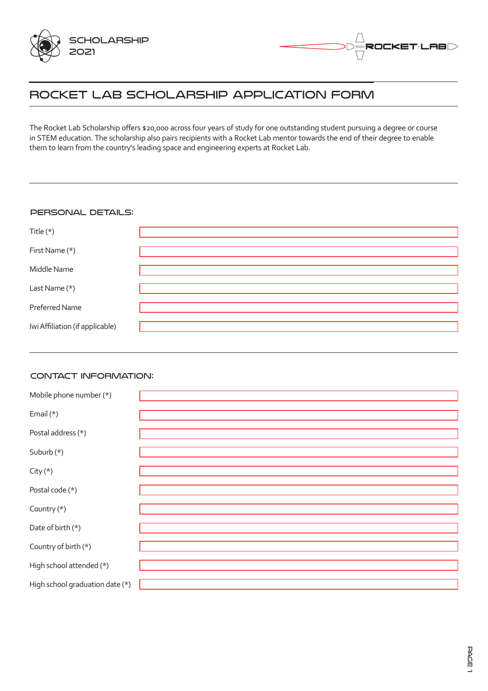



# Rocket Lab Scholarship Application Form

The Rocket Lab Scholarship offers \$20,000 across four years of study for one outstanding student pursuing a degree or course in STEM education. The scholarship also pairs recipients with a Rocket Lab mentor towards the end of their degree to enable them to learn from the country's leading space and engineering experts at Rocket Lab.

## PERSONAL DETAILS:

| Title $(*)$                     |  |
|---------------------------------|--|
| First Name (*)                  |  |
| Middle Name                     |  |
| Last Name (*)                   |  |
| Preferred Name                  |  |
| Iwi Affiliation (if applicable) |  |

#### Contact Information:

| Mobile phone number (*)         |  |
|---------------------------------|--|
| Email (*)                       |  |
|                                 |  |
| Postal address (*)              |  |
| Suburb (*)                      |  |
|                                 |  |
| City $(*)$                      |  |
| Postal code (*)                 |  |
|                                 |  |
| Country (*)                     |  |
| Date of birth (*)               |  |
|                                 |  |
| Country of birth (*)            |  |
| High school attended (*)        |  |
|                                 |  |
|                                 |  |
| High school graduation date (*) |  |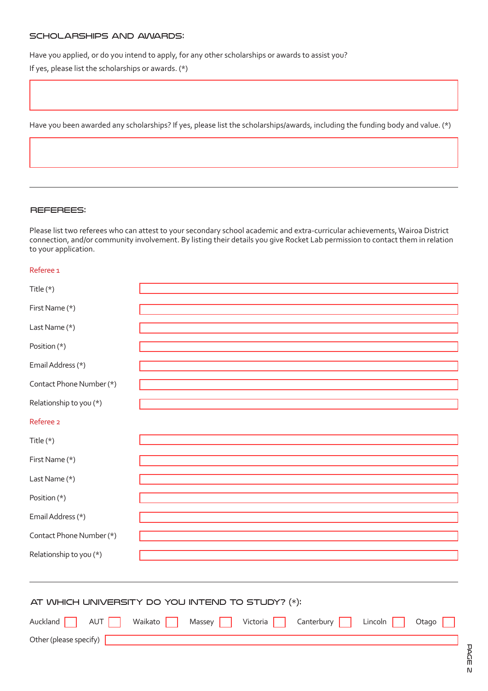#### Scholarships and Awards:

Have you applied, or do you intend to apply, for any other scholarships or awards to assist you?

If yes, please list the scholarships or awards. (\*)

Have you been awarded any scholarships? If yes, please list the scholarships/awards, including the funding body and value. (\*)

#### Referees:

Please list two referees who can attest to your secondary school academic and extra-curricular achievements, Wairoa District connection, and/or community involvement. By listing their details you give Rocket Lab permission to contact them in relation to your application.

#### Referee 1

| Title $(*)$                                                                                                                            |  |  |  |
|----------------------------------------------------------------------------------------------------------------------------------------|--|--|--|
| First Name (*)                                                                                                                         |  |  |  |
| Last Name (*)                                                                                                                          |  |  |  |
| Position (*)                                                                                                                           |  |  |  |
| Email Address (*)                                                                                                                      |  |  |  |
| Contact Phone Number (*)                                                                                                               |  |  |  |
| Relationship to you (*)                                                                                                                |  |  |  |
| Referee 2                                                                                                                              |  |  |  |
| Title (*)                                                                                                                              |  |  |  |
| First Name (*)                                                                                                                         |  |  |  |
| Last Name (*)                                                                                                                          |  |  |  |
| Position (*)                                                                                                                           |  |  |  |
| Email Address (*)                                                                                                                      |  |  |  |
| Contact Phone Number (*)                                                                                                               |  |  |  |
| Relationship to you (*)                                                                                                                |  |  |  |
|                                                                                                                                        |  |  |  |
| AT WHICH UNIVERSITY DO YOU INTEND TO STUDY? (*):<br>Auckland<br>Waikato<br>Canterbury<br>AUT<br>Victoria<br>Lincoln<br>Otago<br>Massey |  |  |  |
| Other (please specify)                                                                                                                 |  |  |  |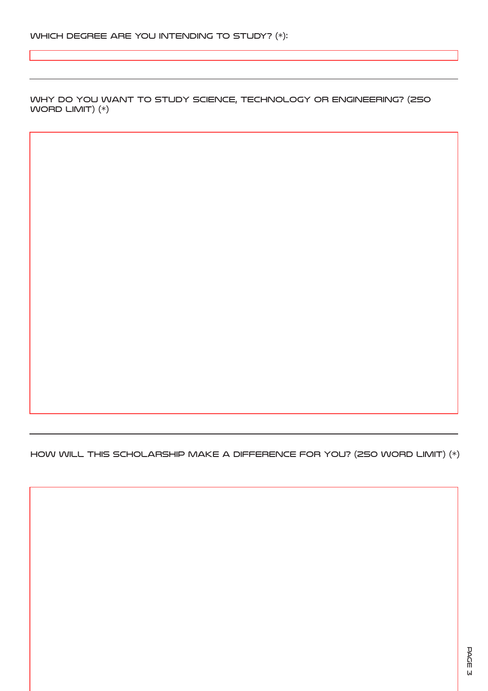Why do you want to study science, technology or engineering? (250 WORD LIMIT)  $(*)$ 

How will this scholarship make a difference for you? (250 word limit) (\*)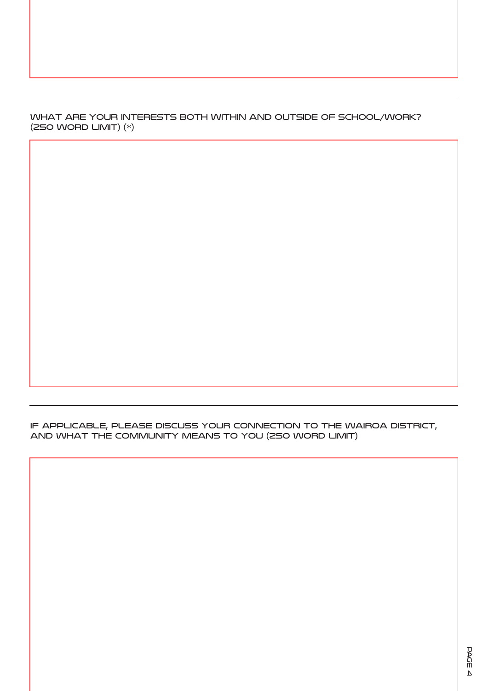What are your interests both within and outside of school/work? (250 word limit) (\*)

if applicable, Please discuss your connection to the Wairoa District, and what the community means to you (250 word limit)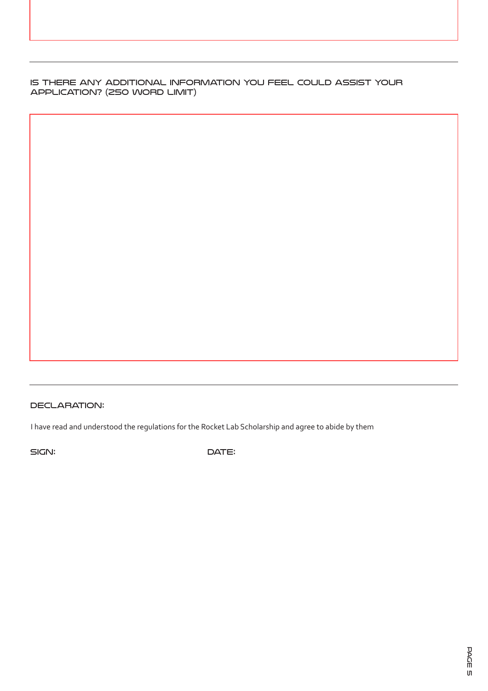Is there any additional information you feel could assist your application? (250 word limit)

# DECLARATION:

I have read and understood the regulations for the Rocket Lab Scholarship and agree to abide by them

SIGN: DATE: